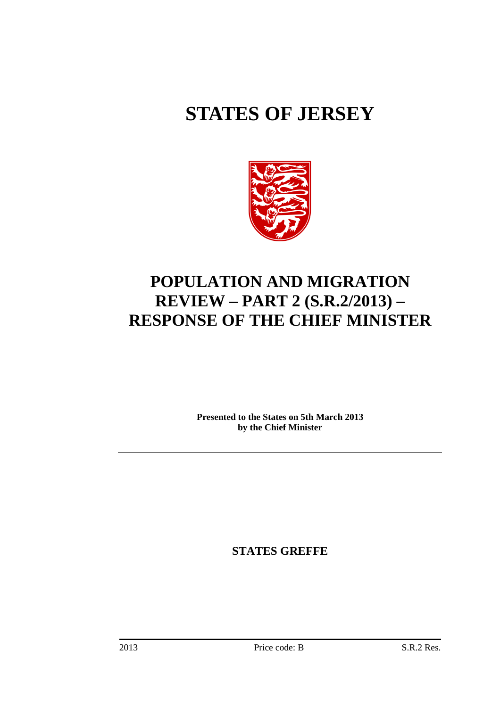# **STATES OF JERSEY**



## **POPULATION AND MIGRATION REVIEW – PART 2 (S.R.2/2013) – RESPONSE OF THE CHIEF MINISTER**

**Presented to the States on 5th March 2013 by the Chief Minister** 

**STATES GREFFE**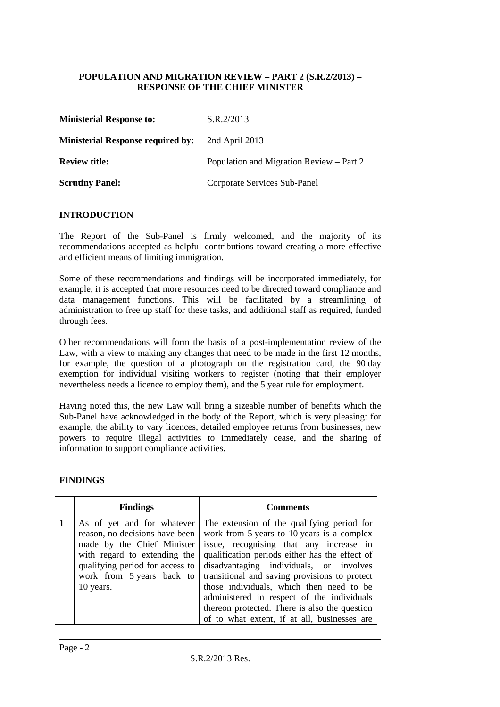#### **POPULATION AND MIGRATION REVIEW – PART 2 (S.R.2/2013) – RESPONSE OF THE CHIEF MINISTER**

| <b>Ministerial Response to:</b>          | S.R.2/2013                               |
|------------------------------------------|------------------------------------------|
| <b>Ministerial Response required by:</b> | 2nd April 2013                           |
| <b>Review title:</b>                     | Population and Migration Review – Part 2 |
| <b>Scrutiny Panel:</b>                   | Corporate Services Sub-Panel             |

#### **INTRODUCTION**

The Report of the Sub-Panel is firmly welcomed, and the majority of its recommendations accepted as helpful contributions toward creating a more effective and efficient means of limiting immigration.

Some of these recommendations and findings will be incorporated immediately, for example, it is accepted that more resources need to be directed toward compliance and data management functions. This will be facilitated by a streamlining of administration to free up staff for these tasks, and additional staff as required, funded through fees.

Other recommendations will form the basis of a post-implementation review of the Law, with a view to making any changes that need to be made in the first 12 months, for example, the question of a photograph on the registration card, the 90 day exemption for individual visiting workers to register (noting that their employer nevertheless needs a licence to employ them), and the 5 year rule for employment.

Having noted this, the new Law will bring a sizeable number of benefits which the Sub-Panel have acknowledged in the body of the Report, which is very pleasing: for example, the ability to vary licences, detailed employee returns from businesses, new powers to require illegal activities to immediately cease, and the sharing of information to support compliance activities.

#### **FINDINGS**

| <b>Findings</b>                                                                                                                                                                                         | <b>Comments</b><br>The extension of the qualifying period for<br>work from 5 years to 10 years is a complex<br>issue, recognising that any increase in                                                                                                                                                                                |  |  |  |
|---------------------------------------------------------------------------------------------------------------------------------------------------------------------------------------------------------|---------------------------------------------------------------------------------------------------------------------------------------------------------------------------------------------------------------------------------------------------------------------------------------------------------------------------------------|--|--|--|
| As of yet and for whatever<br>reason, no decisions have been<br>made by the Chief Minister<br>with regard to extending the<br>qualifying period for access to<br>work from 5 years back to<br>10 years. | qualification periods either has the effect of<br>disadvantaging individuals, or involves<br>transitional and saving provisions to protect<br>those individuals, which then need to be<br>administered in respect of the individuals<br>thereon protected. There is also the question<br>of to what extent, if at all, businesses are |  |  |  |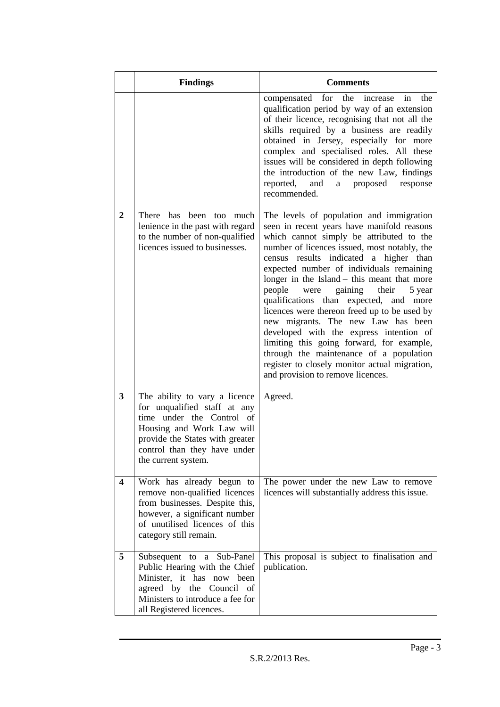|                         | <b>Findings</b>                                                                                                                                                                                                   | <b>Comments</b>                                                                                                                                                                                                                                                                                                                                                                                                                                                                                                                                                                                                                                                                                                            |
|-------------------------|-------------------------------------------------------------------------------------------------------------------------------------------------------------------------------------------------------------------|----------------------------------------------------------------------------------------------------------------------------------------------------------------------------------------------------------------------------------------------------------------------------------------------------------------------------------------------------------------------------------------------------------------------------------------------------------------------------------------------------------------------------------------------------------------------------------------------------------------------------------------------------------------------------------------------------------------------------|
|                         |                                                                                                                                                                                                                   | compensated for the<br>increase in the<br>qualification period by way of an extension<br>of their licence, recognising that not all the<br>skills required by a business are readily<br>obtained in Jersey, especially for more<br>complex and specialised roles. All these<br>issues will be considered in depth following<br>the introduction of the new Law, findings<br>reported, and<br>a proposed response<br>recommended.                                                                                                                                                                                                                                                                                           |
| $\boldsymbol{2}$        | There has been too much<br>lenience in the past with regard<br>to the number of non-qualified<br>licences issued to businesses.                                                                                   | The levels of population and immigration<br>seen in recent years have manifold reasons<br>which cannot simply be attributed to the<br>number of licences issued, most notably, the<br>census results indicated a higher than<br>expected number of individuals remaining<br>longer in the Island - this meant that more<br>people<br>were gaining their<br>5 year<br>qualifications than expected, and more<br>licences were thereon freed up to be used by<br>new migrants. The new Law has been<br>developed with the express intention of<br>limiting this going forward, for example,<br>through the maintenance of a population<br>register to closely monitor actual migration,<br>and provision to remove licences. |
| 3                       | The ability to vary a licence<br>for unqualified staff at any<br>time under the Control of<br>Housing and Work Law will<br>provide the States with greater<br>control than they have under<br>the current system. | Agreed.                                                                                                                                                                                                                                                                                                                                                                                                                                                                                                                                                                                                                                                                                                                    |
| $\overline{\mathbf{4}}$ | Work has already begun to<br>remove non-qualified licences<br>from businesses. Despite this,<br>however, a significant number<br>of unutilised licences of this<br>category still remain.                         | The power under the new Law to remove<br>licences will substantially address this issue.                                                                                                                                                                                                                                                                                                                                                                                                                                                                                                                                                                                                                                   |
| 5                       | Subsequent to a Sub-Panel<br>Public Hearing with the Chief<br>Minister, it has now been<br>agreed by the Council<br>of<br>Ministers to introduce a fee for<br>all Registered licences.                            | This proposal is subject to finalisation and<br>publication.                                                                                                                                                                                                                                                                                                                                                                                                                                                                                                                                                                                                                                                               |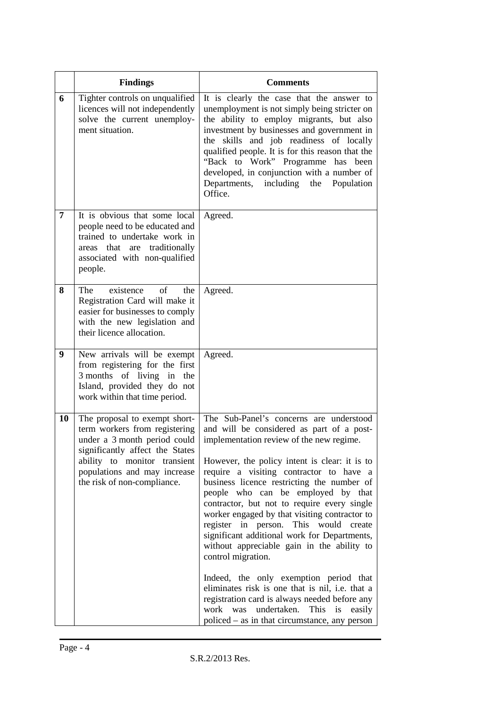|    | <b>Findings</b>                                                                                                                                                                                                                  | <b>Comments</b>                                                                                                                                                                                                                                                                                                                                                                                                                                                                                                                                                                                                                                                                                                                                                                                                                    |
|----|----------------------------------------------------------------------------------------------------------------------------------------------------------------------------------------------------------------------------------|------------------------------------------------------------------------------------------------------------------------------------------------------------------------------------------------------------------------------------------------------------------------------------------------------------------------------------------------------------------------------------------------------------------------------------------------------------------------------------------------------------------------------------------------------------------------------------------------------------------------------------------------------------------------------------------------------------------------------------------------------------------------------------------------------------------------------------|
| 6  | Tighter controls on unqualified<br>licences will not independently<br>solve the current unemploy-<br>ment situation.                                                                                                             | It is clearly the case that the answer to<br>unemployment is not simply being stricter on<br>the ability to employ migrants, but also<br>investment by businesses and government in<br>skills and job readiness of locally<br>the<br>qualified people. It is for this reason that the<br>"Back to Work" Programme has been<br>developed, in conjunction with a number of<br>Departments,<br>including<br>the<br>Population<br>Office.                                                                                                                                                                                                                                                                                                                                                                                              |
| 7  | It is obvious that some local<br>people need to be educated and<br>trained to undertake work in<br>areas that are traditionally<br>associated with non-qualified<br>people.                                                      | Agreed.                                                                                                                                                                                                                                                                                                                                                                                                                                                                                                                                                                                                                                                                                                                                                                                                                            |
| 8  | existence<br>The<br>of<br>the<br>Registration Card will make it<br>easier for businesses to comply<br>with the new legislation and<br>their licence allocation.                                                                  | Agreed.                                                                                                                                                                                                                                                                                                                                                                                                                                                                                                                                                                                                                                                                                                                                                                                                                            |
| 9  | New arrivals will be exempt<br>from registering for the first<br>3 months of living in the<br>Island, provided they do not<br>work within that time period.                                                                      | Agreed.                                                                                                                                                                                                                                                                                                                                                                                                                                                                                                                                                                                                                                                                                                                                                                                                                            |
| 10 | The proposal to exempt short-<br>term workers from registering<br>under a 3 month period could<br>significantly affect the States<br>ability to monitor transient<br>populations and may increase<br>the risk of non-compliance. | The Sub-Panel's concerns are understood<br>and will be considered as part of a post-<br>implementation review of the new regime.<br>However, the policy intent is clear: it is to<br>require a visiting contractor to have a<br>business licence restricting the number of<br>people who can be employed by that<br>contractor, but not to require every single<br>worker engaged by that visiting contractor to<br>register in person. This would create<br>significant additional work for Departments,<br>without appreciable gain in the ability to<br>control migration.<br>Indeed, the only exemption period that<br>eliminates risk is one that is nil, i.e. that a<br>registration card is always needed before any<br>undertaken.<br>This<br>work<br>was<br>is<br>easily<br>policed – as in that circumstance, any person |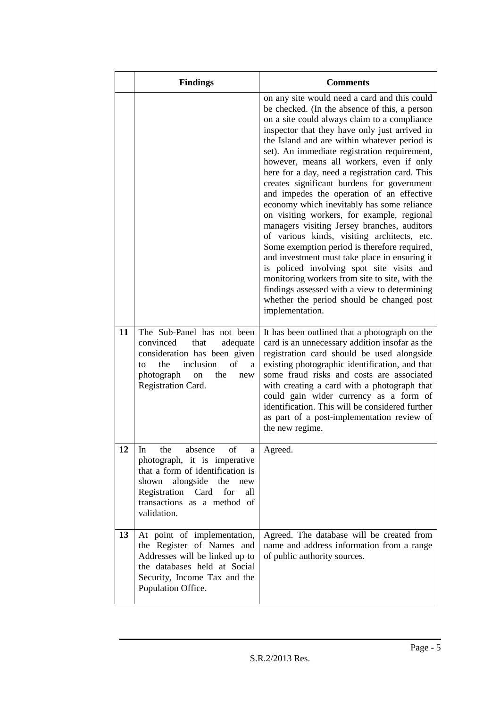|    | <b>Findings</b>                                                                                                                                                                                                    | <b>Comments</b>                                                                                                                                                                                                                                                                                                                                                                                                                                                                                                                                                                                                                                                                                                                                                                                                                                                                                                                                                                                   |
|----|--------------------------------------------------------------------------------------------------------------------------------------------------------------------------------------------------------------------|---------------------------------------------------------------------------------------------------------------------------------------------------------------------------------------------------------------------------------------------------------------------------------------------------------------------------------------------------------------------------------------------------------------------------------------------------------------------------------------------------------------------------------------------------------------------------------------------------------------------------------------------------------------------------------------------------------------------------------------------------------------------------------------------------------------------------------------------------------------------------------------------------------------------------------------------------------------------------------------------------|
|    |                                                                                                                                                                                                                    | on any site would need a card and this could<br>be checked. (In the absence of this, a person<br>on a site could always claim to a compliance<br>inspector that they have only just arrived in<br>the Island and are within whatever period is<br>set). An immediate registration requirement,<br>however, means all workers, even if only<br>here for a day, need a registration card. This<br>creates significant burdens for government<br>and impedes the operation of an effective<br>economy which inevitably has some reliance<br>on visiting workers, for example, regional<br>managers visiting Jersey branches, auditors<br>of various kinds, visiting architects, etc.<br>Some exemption period is therefore required,<br>and investment must take place in ensuring it<br>is policed involving spot site visits and<br>monitoring workers from site to site, with the<br>findings assessed with a view to determining<br>whether the period should be changed post<br>implementation. |
| 11 | The Sub-Panel has not been<br>that<br>convinced<br>adequate<br>consideration has been given<br>inclusion<br>the<br>of<br>to<br>a<br>photograph<br>the<br>new<br>on<br>Registration Card.                           | It has been outlined that a photograph on the<br>card is an unnecessary addition insofar as the<br>registration card should be used alongside<br>existing photographic identification, and that<br>some fraud risks and costs are associated<br>with creating a card with a photograph that<br>could gain wider currency as a form of<br>identification. This will be considered further<br>as part of a post-implementation review of<br>the new regime.                                                                                                                                                                                                                                                                                                                                                                                                                                                                                                                                         |
| 12 | the<br>absence<br>of<br>In<br>a<br>photograph, it is imperative<br>that a form of identification is<br>shown alongside the<br>new<br>Registration Card<br>for<br>all<br>transactions as a method of<br>validation. | Agreed.                                                                                                                                                                                                                                                                                                                                                                                                                                                                                                                                                                                                                                                                                                                                                                                                                                                                                                                                                                                           |
| 13 | At point of implementation,<br>the Register of Names and<br>Addresses will be linked up to<br>the databases held at Social<br>Security, Income Tax and the<br>Population Office.                                   | Agreed. The database will be created from<br>name and address information from a range<br>of public authority sources.                                                                                                                                                                                                                                                                                                                                                                                                                                                                                                                                                                                                                                                                                                                                                                                                                                                                            |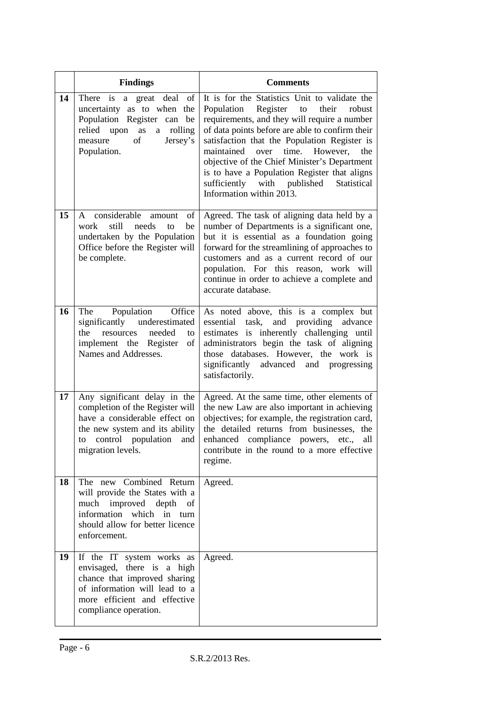|    | <b>Findings</b>                                                                                                                                                                            | <b>Comments</b>                                                                                                                                                                                                                                                                                                                                                                                                                                                           |
|----|--------------------------------------------------------------------------------------------------------------------------------------------------------------------------------------------|---------------------------------------------------------------------------------------------------------------------------------------------------------------------------------------------------------------------------------------------------------------------------------------------------------------------------------------------------------------------------------------------------------------------------------------------------------------------------|
| 14 | There is a great deal of<br>uncertainty as to when the<br>Population Register can be<br>relied upon<br>rolling<br>as<br>a<br>of<br>Jersey's<br>measure<br>Population.                      | It is for the Statistics Unit to validate the<br>Population Register to<br>their<br>robust<br>requirements, and they will require a number<br>of data points before are able to confirm their<br>satisfaction that the Population Register is<br>maintained<br>time.<br>over<br>However,<br>the<br>objective of the Chief Minister's Department<br>is to have a Population Register that aligns<br>sufficiently with published<br>Statistical<br>Information within 2013. |
| 15 | considerable amount<br>of<br>A<br>still<br>work<br>needs<br>be<br>to<br>undertaken by the Population<br>Office before the Register will<br>be complete.                                    | Agreed. The task of aligning data held by a<br>number of Departments is a significant one,<br>but it is essential as a foundation going<br>forward for the streamlining of approaches to<br>customers and as a current record of our<br>population. For this reason, work will<br>continue in order to achieve a complete and<br>accurate database.                                                                                                                       |
| 16 | The Population Office<br>significantly underestimated<br>the<br>needed<br>resources<br>to<br>implement the Register<br>of<br>Names and Addresses.                                          | As noted above, this is a complex but<br>essential task, and providing<br>advance<br>estimates is inherently challenging until<br>administrators begin the task of aligning<br>those databases. However, the work is<br>significantly<br>advanced<br>and progressing<br>satisfactorily.                                                                                                                                                                                   |
| 17 | Any significant delay in the<br>completion of the Register will<br>have a considerable effect on<br>the new system and its ability<br>control population<br>to<br>and<br>migration levels. | Agreed. At the same time, other elements of<br>the new Law are also important in achieving<br>objectives; for example, the registration card,<br>the detailed returns from businesses, the<br>enhanced compliance powers, etc.,<br>all<br>contribute in the round to a more effective<br>regime.                                                                                                                                                                          |
| 18 | The new Combined Return<br>will provide the States with a<br>much improved depth<br>of<br>information which in turn<br>should allow for better licence<br>enforcement.                     | Agreed.                                                                                                                                                                                                                                                                                                                                                                                                                                                                   |
| 19 | If the IT system works as<br>envisaged, there is a high<br>chance that improved sharing<br>of information will lead to a<br>more efficient and effective<br>compliance operation.          | Agreed.                                                                                                                                                                                                                                                                                                                                                                                                                                                                   |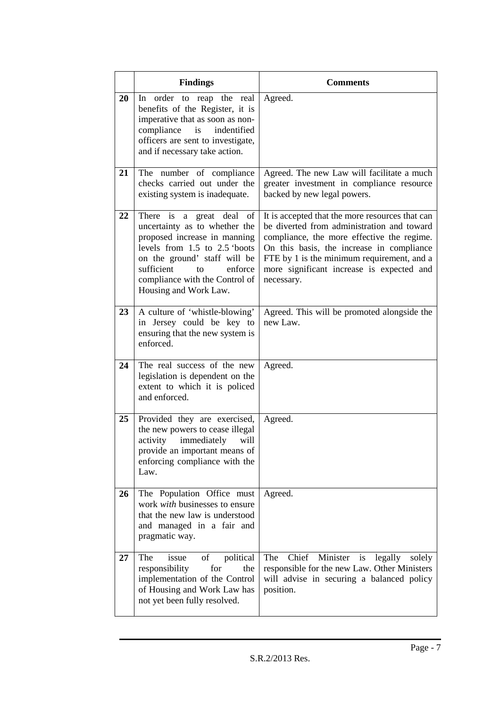|    | <b>Findings</b>                                                                                                                                                                                                                                             | <b>Comments</b>                                                                                                                                                                                                                                                                                   |
|----|-------------------------------------------------------------------------------------------------------------------------------------------------------------------------------------------------------------------------------------------------------------|---------------------------------------------------------------------------------------------------------------------------------------------------------------------------------------------------------------------------------------------------------------------------------------------------|
| 20 | In order to reap the real<br>benefits of the Register, it is<br>imperative that as soon as non-<br>compliance<br>is<br>indentified<br>officers are sent to investigate,<br>and if necessary take action.                                                    | Agreed.                                                                                                                                                                                                                                                                                           |
| 21 | The number of compliance<br>checks carried out under the<br>existing system is inadequate.                                                                                                                                                                  | Agreed. The new Law will facilitate a much<br>greater investment in compliance resource<br>backed by new legal powers.                                                                                                                                                                            |
| 22 | There is a great deal<br>of<br>uncertainty as to whether the<br>proposed increase in manning<br>levels from $1.5$ to $2.5$ 'boots<br>on the ground' staff will be<br>sufficient<br>to<br>enforce<br>compliance with the Control of<br>Housing and Work Law. | It is accepted that the more resources that can<br>be diverted from administration and toward<br>compliance, the more effective the regime.<br>On this basis, the increase in compliance<br>FTE by 1 is the minimum requirement, and a<br>more significant increase is expected and<br>necessary. |
| 23 | A culture of 'whistle-blowing'<br>in Jersey could be key to<br>ensuring that the new system is<br>enforced.                                                                                                                                                 | Agreed. This will be promoted alongside the<br>new Law.                                                                                                                                                                                                                                           |
| 24 | The real success of the new<br>legislation is dependent on the<br>extent to which it is policed<br>and enforced.                                                                                                                                            | Agreed.                                                                                                                                                                                                                                                                                           |
| 25 | Provided they are exercised,<br>the new powers to cease illegal<br>activity immediately<br>will<br>provide an important means of<br>enforcing compliance with the<br>Law.                                                                                   | Agreed.                                                                                                                                                                                                                                                                                           |
| 26 | The Population Office must<br>work with businesses to ensure<br>that the new law is understood<br>and managed in a fair and<br>pragmatic way.                                                                                                               | Agreed.                                                                                                                                                                                                                                                                                           |
| 27 | of political<br>The<br>issue<br>responsibility<br>for<br>the<br>implementation of the Control<br>of Housing and Work Law has<br>not yet been fully resolved.                                                                                                | The<br>Chief<br>Minister<br>is<br>legally<br>solely<br>responsible for the new Law. Other Ministers<br>will advise in securing a balanced policy<br>position.                                                                                                                                     |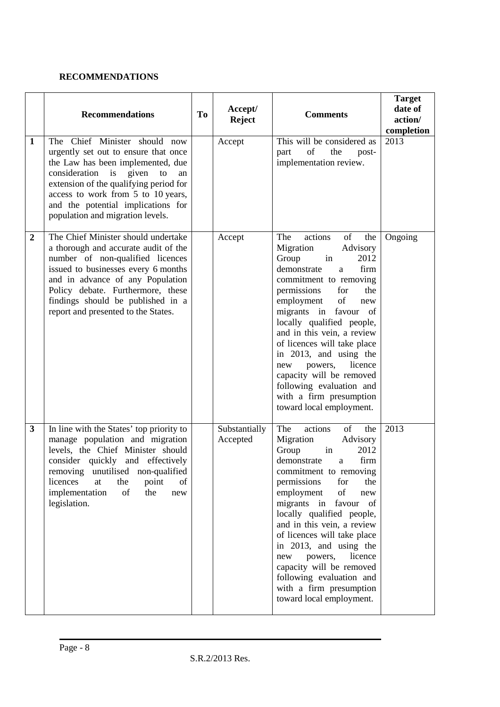#### **RECOMMENDATIONS**

|                  | <b>Recommendations</b>                                                                                                                                                                                                                                                                                           | <b>To</b> | Accept/<br><b>Reject</b>  | <b>Comments</b>                                                                                                                                                                                                                                                                                                                                                                                                                                                                    | <b>Target</b><br>date of<br>action/<br>completion |
|------------------|------------------------------------------------------------------------------------------------------------------------------------------------------------------------------------------------------------------------------------------------------------------------------------------------------------------|-----------|---------------------------|------------------------------------------------------------------------------------------------------------------------------------------------------------------------------------------------------------------------------------------------------------------------------------------------------------------------------------------------------------------------------------------------------------------------------------------------------------------------------------|---------------------------------------------------|
| $\mathbf{1}$     | The Chief Minister should now<br>urgently set out to ensure that once<br>the Law has been implemented, due<br>consideration<br>given<br>is<br>to<br>an<br>extension of the qualifying period for<br>access to work from 5 to 10 years,<br>and the potential implications for<br>population and migration levels. |           | Accept                    | This will be considered as<br>of<br>the<br>post-<br>part<br>implementation review.                                                                                                                                                                                                                                                                                                                                                                                                 | 2013                                              |
| $\boldsymbol{2}$ | The Chief Minister should undertake<br>a thorough and accurate audit of the<br>number of non-qualified licences<br>issued to businesses every 6 months<br>and in advance of any Population<br>Policy debate. Furthermore, these<br>findings should be published in a<br>report and presented to the States.      |           | Accept                    | actions<br>of<br>The<br>the<br>Migration<br>Advisory<br>Group<br>in<br>2012<br>demonstrate<br>firm<br>a<br>commitment to removing<br>permissions<br>for<br>the<br>employment<br>of<br>new<br>migrants in favour of<br>locally qualified people,<br>and in this vein, a review<br>of licences will take place<br>in 2013, and using the<br>licence<br>powers,<br>new<br>capacity will be removed<br>following evaluation and<br>with a firm presumption<br>toward local employment. | Ongoing                                           |
| $\mathbf{3}$     | In line with the States' top priority to<br>manage population and migration<br>levels, the Chief Minister should<br>consider quickly and effectively<br>removing unutilised non-qualified<br>licences<br>point<br>at<br>the<br>of<br>implementation<br>of<br>the<br>new<br>legislation.                          |           | Substantially<br>Accepted | actions<br>The<br>of<br>the<br>Migration<br>Advisory<br>Group<br>2012<br>in<br>firm<br>demonstrate<br>a<br>commitment to removing<br>permissions<br>for<br>the<br>of<br>employment<br>new<br>migrants in favour of<br>locally qualified people,<br>and in this vein, a review<br>of licences will take place<br>in 2013, and using the<br>licence<br>powers,<br>new<br>capacity will be removed<br>following evaluation and<br>with a firm presumption<br>toward local employment. | 2013                                              |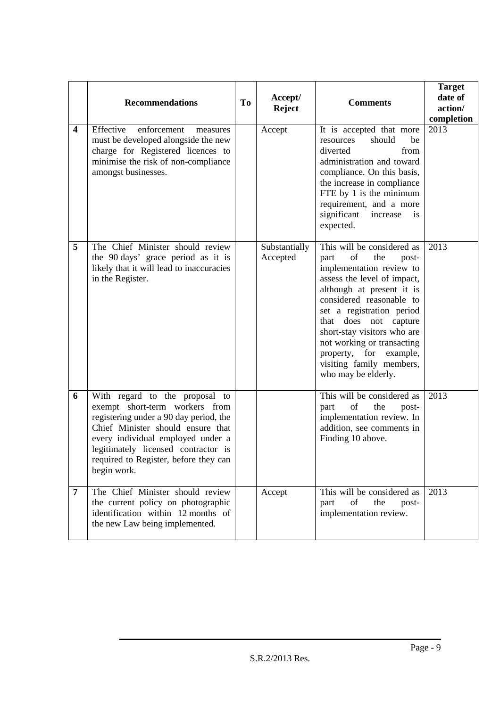|                         | <b>Recommendations</b>                                                                                                                                                                                                                                                              | T <sub>o</sub> | Accept/<br><b>Reject</b>  | <b>Comments</b>                                                                                                                                                                                                                                                                                                                                                              | <b>Target</b><br>date of<br>action/<br>completion |
|-------------------------|-------------------------------------------------------------------------------------------------------------------------------------------------------------------------------------------------------------------------------------------------------------------------------------|----------------|---------------------------|------------------------------------------------------------------------------------------------------------------------------------------------------------------------------------------------------------------------------------------------------------------------------------------------------------------------------------------------------------------------------|---------------------------------------------------|
| $\overline{\mathbf{4}}$ | Effective<br>enforcement<br>measures<br>must be developed alongside the new<br>charge for Registered licences to<br>minimise the risk of non-compliance<br>amongst businesses.                                                                                                      |                | Accept                    | It is accepted that more<br>should<br>resources<br>be<br>diverted<br>from<br>administration and toward<br>compliance. On this basis,<br>the increase in compliance<br>FTE by 1 is the minimum<br>requirement, and a more<br>significant<br>increase<br>is<br>expected.                                                                                                       | 2013                                              |
| 5                       | The Chief Minister should review<br>the 90 days' grace period as it is<br>likely that it will lead to inaccuracies<br>in the Register.                                                                                                                                              |                | Substantially<br>Accepted | This will be considered as<br>of<br>the<br>part<br>post-<br>implementation review to<br>assess the level of impact,<br>although at present it is<br>considered reasonable to<br>set a registration period<br>that does not capture<br>short-stay visitors who are<br>not working or transacting<br>property, for example,<br>visiting family members,<br>who may be elderly. | 2013                                              |
| 6                       | With regard to the proposal to<br>exempt short-term workers from<br>registering under a 90 day period, the<br>Chief Minister should ensure that<br>every individual employed under a<br>legitimately licensed contractor is<br>required to Register, before they can<br>begin work. |                |                           | This will be considered as<br>$% \left( \left( \mathcal{A},\mathcal{A}\right) \right) =\left( \mathcal{A},\mathcal{A}\right)$ of<br>part<br>the<br>post-<br>implementation review. In<br>addition, see comments in<br>Finding 10 above.                                                                                                                                      | 2013                                              |
| 7                       | The Chief Minister should review<br>the current policy on photographic<br>identification within 12 months of<br>the new Law being implemented.                                                                                                                                      |                | Accept                    | This will be considered as<br>of<br>the<br>post-<br>part<br>implementation review.                                                                                                                                                                                                                                                                                           | 2013                                              |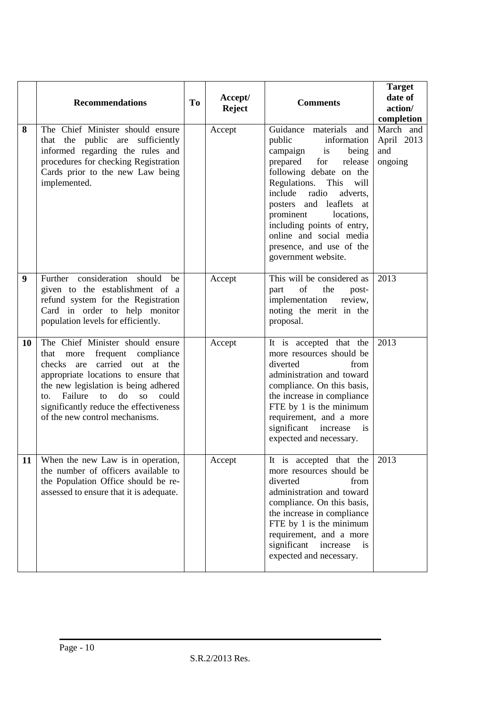|    | <b>Recommendations</b>                                                                                                                                                                                                                                                                                                        | <b>To</b> | Accept/<br><b>Reject</b> | <b>Comments</b>                                                                                                                                                                                                                                                                                                                                              | <b>Target</b><br>date of<br>action/<br>completion |
|----|-------------------------------------------------------------------------------------------------------------------------------------------------------------------------------------------------------------------------------------------------------------------------------------------------------------------------------|-----------|--------------------------|--------------------------------------------------------------------------------------------------------------------------------------------------------------------------------------------------------------------------------------------------------------------------------------------------------------------------------------------------------------|---------------------------------------------------|
| 8  | The Chief Minister should ensure<br>public are sufficiently<br>that the<br>informed regarding the rules and<br>procedures for checking Registration<br>Cards prior to the new Law being<br>implemented.                                                                                                                       |           | Accept                   | Guidance materials and<br>public<br>information<br>campaign is<br>being<br>prepared for<br>release<br>following debate on the<br>Regulations. This<br>will<br>include radio<br>adverts,<br>posters and leaflets<br>at<br>prominent<br>locations,<br>including points of entry,<br>online and social media<br>presence, and use of the<br>government website. | March and<br>April 2013<br>and<br>ongoing         |
| 9  | Further consideration should be<br>given to the establishment of a<br>refund system for the Registration<br>Card in order to help monitor<br>population levels for efficiently.                                                                                                                                               |           | Accept                   | This will be considered as<br>of<br>the<br>part<br>post-<br>implementation<br>review,<br>noting the merit in the<br>proposal.                                                                                                                                                                                                                                | 2013                                              |
| 10 | The Chief Minister should ensure<br>more<br>frequent compliance<br>that<br>checks are carried out at the<br>appropriate locations to ensure that<br>the new legislation is being adhered<br>Failure<br>to<br>d <sub>o</sub><br>SO<br>could<br>to.<br>significantly reduce the effectiveness<br>of the new control mechanisms. |           | Accept                   | It is accepted that the<br>more resources should be<br>diverted<br>from<br>administration and toward<br>compliance. On this basis,<br>the increase in compliance<br>FTE by 1 is the minimum<br>requirement, and a more<br>significant<br>increase<br><i>is</i><br>expected and necessary.                                                                    | 2013                                              |
| 11 | When the new Law is in operation,<br>the number of officers available to<br>the Population Office should be re-<br>assessed to ensure that it is adequate.                                                                                                                                                                    |           | Accept                   | It is accepted that the<br>more resources should be<br>diverted<br>from<br>administration and toward<br>compliance. On this basis,<br>the increase in compliance<br>FTE by 1 is the minimum<br>requirement, and a more<br>significant<br>increase<br>is<br>expected and necessary.                                                                           | 2013                                              |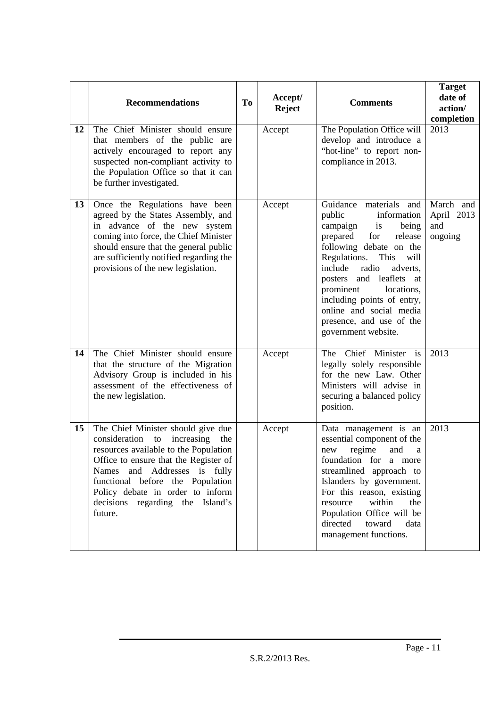|    | <b>Recommendations</b>                                                                                                                                                                                                                                                                                                          | To | Accept/<br><b>Reject</b> | <b>Comments</b>                                                                                                                                                                                                                                                                                                                                                          | <b>Target</b><br>date of<br>action/<br>completion |
|----|---------------------------------------------------------------------------------------------------------------------------------------------------------------------------------------------------------------------------------------------------------------------------------------------------------------------------------|----|--------------------------|--------------------------------------------------------------------------------------------------------------------------------------------------------------------------------------------------------------------------------------------------------------------------------------------------------------------------------------------------------------------------|---------------------------------------------------|
| 12 | The Chief Minister should ensure<br>that members of the public are<br>actively encouraged to report any<br>suspected non-compliant activity to<br>the Population Office so that it can<br>be further investigated.                                                                                                              |    | Accept                   | The Population Office will<br>develop and introduce a<br>"hot-line" to report non-<br>compliance in 2013.                                                                                                                                                                                                                                                                | 2013                                              |
| 13 | Once the Regulations have been<br>agreed by the States Assembly, and<br>in advance of the new system<br>coming into force, the Chief Minister<br>should ensure that the general public<br>are sufficiently notified regarding the<br>provisions of the new legislation.                                                         |    | Accept                   | Guidance<br>materials and<br>public<br>information<br>campaign<br>is<br>being<br>prepared<br>for<br>release<br>following debate on the<br>Regulations.<br>This<br>will<br>radio<br>include<br>adverts,<br>posters and leaflets at<br>prominent<br>locations,<br>including points of entry,<br>online and social media<br>presence, and use of the<br>government website. | March and<br>April 2013<br>and<br>ongoing         |
| 14 | The Chief Minister should ensure<br>that the structure of the Migration<br>Advisory Group is included in his<br>assessment of the effectiveness of<br>the new legislation.                                                                                                                                                      |    | Accept                   | The Chief Minister is<br>legally solely responsible<br>for the new Law. Other<br>Ministers will advise in<br>securing a balanced policy<br>position.                                                                                                                                                                                                                     | 2013                                              |
| 15 | The Chief Minister should give due<br>consideration<br>increasing<br>${\rm to}$<br>the<br>resources available to the Population<br>Office to ensure that the Register of<br>Names and Addresses is fully<br>functional before the Population<br>Policy debate in order to inform<br>decisions regarding the Island's<br>future. |    | Accept                   | Data management is an<br>essential component of the<br>regime<br>and<br>new<br>a<br>foundation for a more<br>streamlined approach to<br>Islanders by government.<br>For this reason, existing<br>within<br>resource<br>the<br>Population Office will be<br>directed toward<br>data<br>management functions.                                                              | 2013                                              |